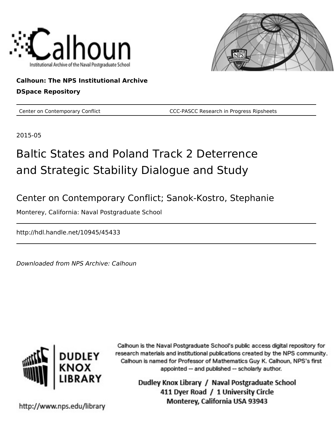



#### **Calhoun: The NPS Institutional Archive DSpace Repository**

Center on Contemporary Conflict **CCC-PASCC Research in Progress Ripsheets** 

2015-05

# Baltic States and Poland Track 2 Deterrence and Strategic Stability Dialogue and Study

Center on Contemporary Conflict; Sanok-Kostro, Stephanie

Monterey, California: Naval Postgraduate School

http://hdl.handle.net/10945/45433

Downloaded from NPS Archive: Calhoun



Calhoun is the Naval Postgraduate School's public access digital repository for research materials and institutional publications created by the NPS community. Calhoun is named for Professor of Mathematics Guy K. Calhoun, NPS's first appointed -- and published -- scholarly author.

> Dudley Knox Library / Naval Postgraduate School 411 Dyer Road / 1 University Circle Monterey, California USA 93943

http://www.nps.edu/library